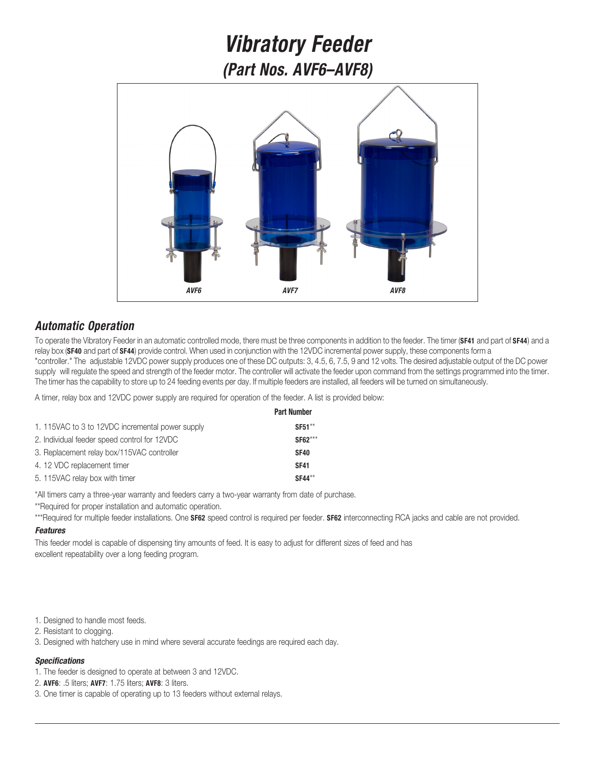# *Vibratory Feeder (Part Nos. AVF6–AVF8)*



## *Automatic Operation*

To operate the Vibratory Feeder in an automatic controlled mode, there must be three components in addition to the feeder. The timer (**SF41** and part of **SF44**) and a relay box (**SF40** and part of **SF44**) provide control. When used in conjunction with the 12VDC incremental power supply, these components form a "controller." The adjustable 12VDC power supply produces one of these DC outputs: 3, 4.5, 6, 7.5, 9 and 12 volts. The desired adjustable output of the DC power supply will regulate the speed and strength of the feeder motor. The controller will activate the feeder upon command from the settings programmed into the timer. The timer has the capability to store up to 24 feeding events per day. If multiple feeders are installed, all feeders will be turned on simultaneously.

A timer, relay box and 12VDC power supply are required for operation of the feeder. A list is provided below:

|                                                  | <b>Part Number</b> |
|--------------------------------------------------|--------------------|
| 1. 115VAC to 3 to 12VDC incremental power supply | <b>SF51**</b>      |
| 2. Individual feeder speed control for 12VDC     | <b>SF62***</b>     |
| 3. Replacement relay box/115VAC controller       | <b>SF40</b>        |
| 4. 12 VDC replacement timer                      | <b>SF41</b>        |
| 5. 115VAC relay box with timer                   | <b>SF44**</b>      |

\*All timers carry a three-year warranty and feeders carry a two-year warranty from date of purchase.

\*\*Required for proper installation and automatic operation.

\*\*\*Required for multiple feeder installations. One **SF62** speed control is required per feeder. **SF62** interconnecting RCA jacks and cable are not provided.

### *Features*

This feeder model is capable of dispensing tiny amounts of feed. It is easy to adjust for different sizes of feed and has excellent repeatability over a long feeding program.

1. Designed to handle most feeds.

- 2. Resistant to clogging.
- 3. Designed with hatchery use in mind where several accurate feedings are required each day.

### *Specifications*

- 1. The feeder is designed to operate at between 3 and 12VDC.
- 2. **AVF6**: .5 liters; **AVF7**: 1.75 liters; **AVF8**: 3 liters.
- 3. One timer is capable of operating up to 13 feeders without external relays.